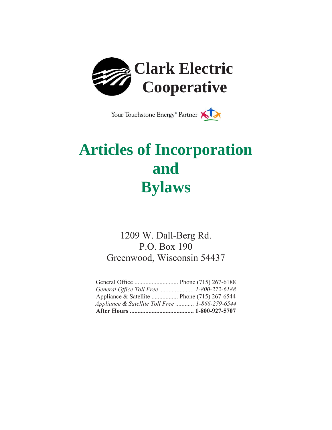

Your Touchstone Energy® Partner

# **Articles of Incorporation and Bylaws**

1209 W. Dall-Berg Rd. P.O. Box 190 Greenwood, Wisconsin 54437

| Appliance & Satellite  Phone (715) 267-6544     |  |
|-------------------------------------------------|--|
| Appliance & Satellite Toll Free  1-866-279-6544 |  |
|                                                 |  |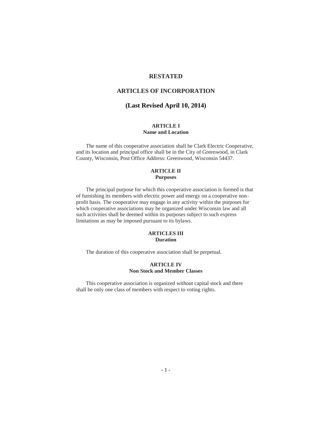# **RESTATED**

# **ARTICLES OF INCORPORATION**

# **(Last Revised April 10, 2014)**

#### **ARTICLE I Name and Location**

The name of this cooperative association shall be Clark Electric Cooperative, and its location and principal office shall be in the City of Greenwood, in Clark County, Wisconsin, Post Office Address: Greenwood, Wisconsin 54437.

# **ARTICLE II Purposes**

The principal purpose for which this cooperative association is formed is that of furnishing its members with electric power and energy on a cooperative nonprofit basis. The cooperative may engage in any activity within the purposes for which cooperative associations may be organized under Wisconsin law and all such activities shall be deemed within its purposes subject to such express limitations as may be imposed pursuant to its bylaws.

#### **ARTICLES III Duration**

The duration of this cooperative association shall be perpetual.

# **ARTICLE IV Non Stock and Member Classes**

This cooperative association is organized without capital stock and there shall be only one class of members with respect to voting rights.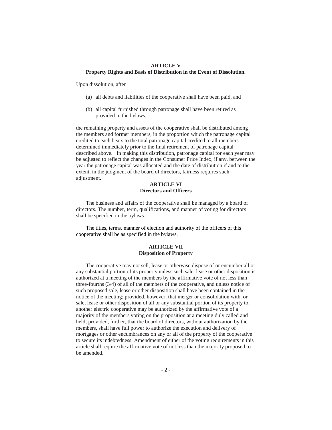#### **ARTICLE V Property Rights and Basis of Distribution in the Event of Dissolution.**

Upon dissolution, after

- (a) all debts and liabilities of the cooperative shall have been paid, and
- (b) all capital furnished through patronage shall have been retired as provided in the bylaws,

the remaining property and assets of the cooperative shall be distributed among the members and former members, in the proportion which the patronage capital credited to each bears to the total patronage capital credited to all members determined immediately prior to the final retirement of patronage capital described above. In making this distribution, patronage capital for each year may be adjusted to reflect the changes in the Consumer Price Index, if any, between the year the patronage capital was allocated and the date of distribution if and to the extent, in the judgment of the board of directors, fairness requires such adjustment.

## **ARTICLE VI Directors and Officers**

The business and affairs of the cooperative shall be managed by a board of directors. The number, term, qualifications, and manner of voting for directors shall be specified in the bylaws.

The titles, terms, manner of election and authority of the officers of this cooperative shall be as specified in the bylaws.

#### **ARTICLE VII Disposition of Property**

The cooperative may not sell, lease or otherwise dispose of or encumber all or any substantial portion of its property unless such sale, lease or other disposition is authorized at a meeting of the members by the affirmative vote of not less than three-fourths (3/4) of all of the members of the cooperative, and unless notice of such proposed sale, lease or other disposition shall have been contained in the notice of the meeting; provided, however, that merger or consolidation with, or sale, lease or other disposition of all or any substantial portion of its property to, another electric cooperative may be authorized by the affirmative vote of a majority of the members voting on the proposition at a meeting duly called and held; provided, further, that the board of directors, without authorization by the members, shall have full power to authorize the execution and delivery of mortgages or other encumbrances on any or all of the property of the cooperative to secure its indebtedness. Amendment of either of the voting requirements in this article shall require the affirmative vote of not less than the majority proposed to be amended.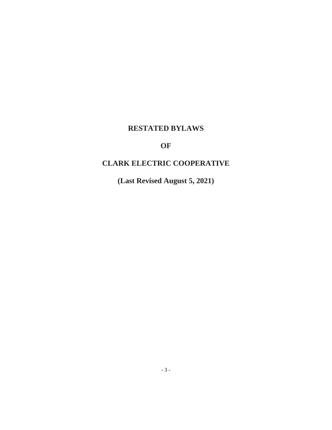# **RESTATED BYLAWS**

# **OF**

# **CLARK ELECTRIC COOPERATIVE**

**(Last Revised August 5, 2021)**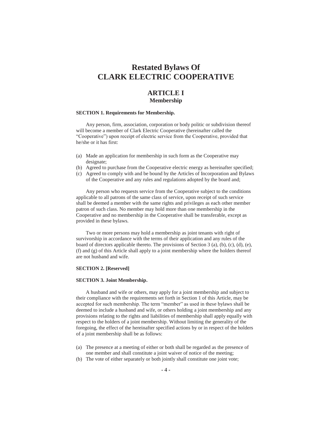# **Restated Bylaws Of CLARK ELECTRIC COOPERATIVE**

# **ARTICLE I Membership**

#### **SECTION 1. Requirements for Membership.**

Any person, firm, association, corporation or body politic or subdivision thereof will become a member of Clark Electric Cooperative (hereinafter called the "Cooperative") upon receipt of electric service from the Cooperative, provided that he/she or it has first:

- (a) Made an application for membership in such form as the Cooperative may designate;
- (b) Agreed to purchase from the Cooperative electric energy as hereinafter specified;
- (c) Agreed to comply with and be bound by the Articles of Incorporation and Bylaws of the Cooperative and any rules and regulations adopted by the board and;

Any person who requests service from the Cooperative subject to the conditions applicable to all patrons of the same class of service, upon receipt of such service shall be deemed a member with the same rights and privileges as each other member patron of such class. No member may hold more than one membership in the Cooperative and no membership in the Cooperative shall be transferable, except as provided in these bylaws.

Two or more persons may hold a membership as joint tenants with right of survivorship in accordance with the terms of their application and any rules of the board of directors applicable thereto. The provisions of Section 3 (a), (b), (c), (d), (e), (f) and (g) of this Article shall apply to a joint membership where the holders thereof are not husband and wife.

# **SECTION 2. [Reserved]**

#### **SECTION 3. Joint Membership.**

A husband and wife or others, may apply for a joint membership and subject to their compliance with the requirements set forth in Section 1 of this Article, may be accepted for such membership. The term "member" as used in these bylaws shall be deemed to include a husband and wife, or others holding a joint membership and any provisions relating to the rights and liabilities of membership shall apply equally with respect to the holders of a joint membership. Without limiting the generality of the foregoing, the effect of the hereinafter specified actions by or in respect of the holders of a joint membership shall be as follows:

- (a) The presence at a meeting of either or both shall be regarded as the presence of one member and shall constitute a joint waiver of notice of the meeting;
- (b) The vote of either separately or both jointly shall constitute one joint vote;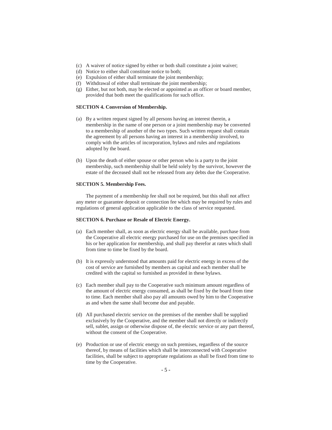- (c) A waiver of notice signed by either or both shall constitute a joint waiver;
- (d) Notice to either shall constitute notice to both;
- (e) Expulsion of either shall terminate the joint membership;
- (f) Withdrawal of either shall terminate the joint membership;
- (g) Either, but not both, may be elected or appointed as an officer or board member, provided that both meet the qualifications for such office.

# **SECTION 4. Conversion of Membership.**

- (a) By a written request signed by all persons having an interest therein, a membership in the name of one person or a joint membership may be converted to a membership of another of the two types. Such written request shall contain the agreement by all persons having an interest in a membership involved, to comply with the articles of incorporation, bylaws and rules and regulations adopted by the board.
- (b) Upon the death of either spouse or other person who is a party to the joint membership, such membership shall be held solely by the survivor, however the estate of the deceased shall not be released from any debts due the Cooperative.

#### **SECTION 5. Membership Fees.**

The payment of a membership fee shall not be required, but this shall not affect any meter or guarantee deposit or connection fee which may be required by rules and regulations of general application applicable to the class of service requested.

#### **SECTION 6. Purchase or Resale of Electric Energy.**

- (a) Each member shall, as soon as electric energy shall be available, purchase from the Cooperative all electric energy purchased for use on the premises specified in his or her application for membership, and shall pay therefor at rates which shall from time to time be fixed by the board.
- (b) It is expressly understood that amounts paid for electric energy in excess of the cost of service are furnished by members as capital and each member shall be credited with the capital so furnished as provided in these bylaws.
- (c) Each member shall pay to the Cooperative such minimum amount regardless of the amount of electric energy consumed, as shall be fixed by the board from time to time. Each member shall also pay all amounts owed by him to the Cooperative as and when the same shall become due and payable.
- (d) All purchased electric service on the premises of the member shall be supplied exclusively by the Cooperative, and the member shall not directly or indirectly sell, sublet, assign or otherwise dispose of, the electric service or any part thereof, without the consent of the Cooperative.
- (e) Production or use of electric energy on such premises, regardless of the source thereof, by means of facilities which shall be interconnected with Cooperative facilities, shall be subject to appropriate regulations as shall be fixed from time to time by the Cooperative.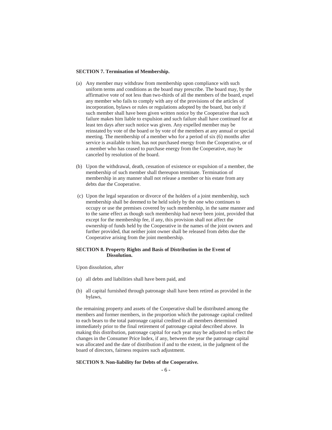#### **SECTION 7. Termination of Membership.**

- (a) Any member may withdraw from membership upon compliance with such uniform terms and conditions as the board may prescribe. The board may, by the affirmative vote of not less than two-thirds of all the members of the board, expel any member who fails to comply with any of the provisions of the articles of incorporation, bylaws or rules or regulations adopted by the board, but only if such member shall have been given written notice by the Cooperative that such failure makes him liable to expulsion and such failure shall have continued for at least ten days after such notice was given. Any expelled member may be reinstated by vote of the board or by vote of the members at any annual or special meeting. The membership of a member who for a period of six (6) months after service is available to him, has not purchased energy from the Cooperative, or of a member who has ceased to purchase energy from the Cooperative, may be canceled by resolution of the board.
- (b) Upon the withdrawal, death, cessation of existence or expulsion of a member, the membership of such member shall thereupon terminate. Termination of membership in any manner shall not release a member or his estate from any debts due the Cooperative.
- (c) Upon the legal separation or divorce of the holders of a joint membership, such membership shall be deemed to be held solely by the one who continues to occupy or use the premises covered by such membership, in the same manner and to the same effect as though such membership had never been joint, provided that except for the membership fee, if any, this provision shall not affect the ownership of funds held by the Cooperative in the names of the joint owners and further provided, that neither joint owner shall be released from debts due the Cooperative arising from the joint membership.

#### **SECTION 8. Property Rights and Basis of Distribution in the Event of Dissolution.**

Upon dissolution, after

- (a) all debts and liabilities shall have been paid, and
- (b) all capital furnished through patronage shall have been retired as provided in the bylaws,

the remaining property and assets of the Cooperative shall be distributed among the members and former members, in the proportion which the patronage capital credited to each bears to the total patronage capital credited to all members determined immediately prior to the final retirement of patronage capital described above. In making this distribution, patronage capital for each year may be adjusted to reflect the changes in the Consumer Price Index, if any, between the year the patronage capital was allocated and the date of distribution if and to the extent, in the judgment of the board of directors, fairness requires such adjustment.

#### **SECTION 9. Non-liability for Debts of the Cooperative.**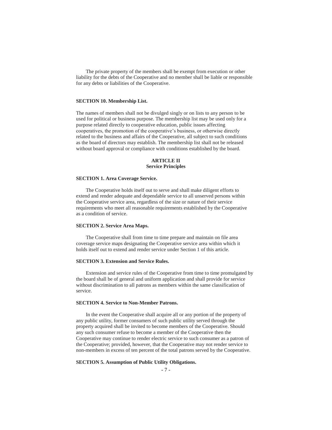The private property of the members shall be exempt from execution or other liability for the debts of the Cooperative and no member shall be liable or responsible for any debts or liabilities of the Cooperative.

#### **SECTION 10. Membership List.**

The names of members shall not be divulged singly or on lists to any person to be used for political or business purpose. The membership list may be used only for a purpose related directly to cooperative education, public issues affecting cooperatives, the promotion of the cooperative's business, or otherwise directly related to the business and affairs of the Cooperative, all subject to such conditions as the board of directors may establish. The membership list shall not be released without board approval or compliance with conditions established by the board.

# **ARTICLE II Service Principles**

#### **SECTION 1. Area Coverage Service.**

The Cooperative holds itself out to serve and shall make diligent efforts to extend and render adequate and dependable service to all unserved persons within the Cooperative service area, regardless of the size or nature of their service requirements who meet all reasonable requirements established by the Cooperative as a condition of service.

#### **SECTION 2. Service Area Maps.**

The Cooperative shall from time to time prepare and maintain on file area coverage service maps designating the Cooperative service area within which it holds itself out to extend and render service under Section 1 of this article.

#### **SECTION 3. Extension and Service Rules.**

Extension and service rules of the Cooperative from time to time promulgated by the board shall be of general and uniform application and shall provide for service without discrimination to all patrons as members within the same classification of service.

#### **SECTION 4. Service to Non-Member Patrons.**

In the event the Cooperative shall acquire all or any portion of the property of any public utility, former consumers of such public utility served through the property acquired shall be invited to become members of the Cooperative. Should any such consumer refuse to become a member of the Cooperative then the Cooperative may continue to render electric service to such consumer as a patron of the Cooperative; provided, however, that the Cooperative may not render service to non-members in excess of ten percent of the total patrons served by the Cooperative.

#### **SECTION 5. Assumption of Public Utility Obligations.**

- 7 -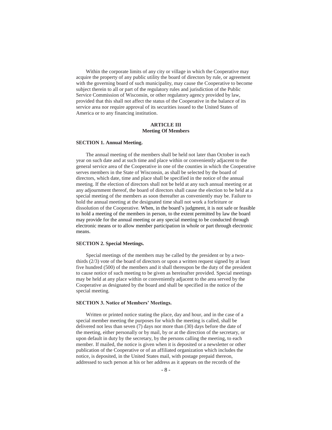Within the corporate limits of any city or village in which the Cooperative may acquire the property of any public utility the board of directors by rule, or agreement with the governing board of such municipality, may cause the Cooperative to become subject therein to all or part of the regulatory rules and jurisdiction of the Public Service Commission of Wisconsin, or other regulatory agency provided by law, provided that this shall not affect the status of the Cooperative in the balance of its service area nor require approval of its securities issued to the United States of America or to any financing institution.

#### **ARTICLE III Meeting Of Members**

#### **SECTION 1. Annual Meeting.**

The annual meeting of the members shall be held not later than October in each year on such date and at such time and place within or conveniently adjacent to the general service area of the Cooperative in one of the counties in which the Cooperative serves members in the State of Wisconsin, as shall be selected by the board of directors, which date, time and place shall be specified in the notice of the annual meeting. If the election of directors shall not be held at any such annual meeting or at any adjournment thereof, the board of directors shall cause the election to be held at a special meeting of the members as soon thereafter as conveniently may be. Failure to hold the annual meeting at the designated time shall not work a forfeiture or dissolution of the Cooperative. When, in the board's judgment, it is not safe or feasible to hold a meeting of the members in person, to the extent permitted by law the board may provide for the annual meeting or any special meeting to be conducted through electronic means or to allow member participation in whole or part through electronic means.

#### **SECTION 2. Special Meetings.**

Special meetings of the members may be called by the president or by a twothirds (2/3) vote of the board of directors or upon a written request signed by at least five hundred (500) of the members and it shall thereupon be the duty of the president to cause notice of such meeting to be given as hereinafter provided. Special meetings may be held at any place within or conveniently adjacent to the area served by the Cooperative as designated by the board and shall be specified in the notice of the special meeting.

#### **SECTION 3. Notice of Members' Meetings.**

Written or printed notice stating the place, day and hour, and in the case of a special member meeting the purposes for which the meeting is called, shall be delivered not less than seven (7) days nor more than (30) days before the date of the meeting, either personally or by mail, by or at the direction of the secretary, or upon default in duty by the secretary, by the persons calling the meeting, to each member. If mailed, the notice is given when it is deposited or a newsletter or other publication of the Cooperative or of an affiliated organization which includes the notice, is deposited, in the United States mail, with postage prepaid thereon, addressed to such person at his or her address as it appears on the records of the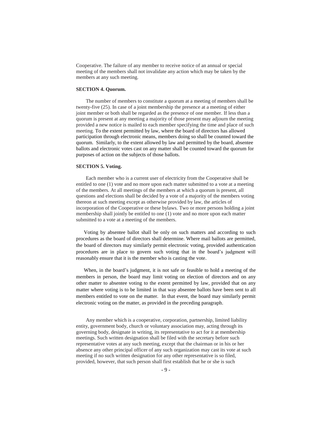Cooperative. The failure of any member to receive notice of an annual or special meeting of the members shall not invalidate any action which may be taken by the members at any such meeting.

# **SECTION 4. Quorum.**

The number of members to constitute a quorum at a meeting of members shall be twenty-five (25). In case of a joint membership the presence at a meeting of either joint member or both shall be regarded as the presence of one member. If less than a quorum is present at any meeting a majority of those present may adjourn the meeting provided a new notice is mailed to each member specifying the time and place of such meeting. To the extent permitted by law, where the board of directors has allowed participation through electronic means, members doing so shall be counted toward the quorum. Similarly, to the extent allowed by law and permitted by the board, absentee ballots and electronic votes cast on any matter shall be counted toward the quorum for purposes of action on the subjects of those ballots.

#### **SECTION 5. Voting.**

Each member who is a current user of electricity from the Cooperative shall be entitled to one (1) vote and no more upon each matter submitted to a vote at a meeting of the members. At all meetings of the members at which a quorum is present, all questions and elections shall be decided by a vote of a majority of the members voting thereon at such meeting except as otherwise provided by law, the articles of incorporation of the Cooperative or these bylaws. Two or more persons holding a joint membership shall jointly be entitled to one (1) vote and no more upon each matter submitted to a vote at a meeting of the members.

Voting by absentee ballot shall be only on such matters and according to such procedures as the board of directors shall determine. Where mail ballots are permitted, the board of directors may similarly permit electronic voting, provided authentication procedures are in place to govern such voting that in the board's judgment will reasonably ensure that it is the member who is casting the vote.

When, in the board's judgment, it is not safe or feasible to hold a meeting of the members in person, the board may limit voting on election of directors and on any other matter to absentee voting to the extent permitted by law, provided that on any matter where voting is to be limited in that way absentee ballots have been sent to all members entitled to vote on the matter. In that event, the board may similarly permit electronic voting on the matter, as provided in the preceding paragraph.

Any member which is a cooperative, corporation, partnership, limited liability entity, government body, church or voluntary association may, acting through its governing body, designate in writing, its representative to act for it at membership meetings. Such written designation shall be filed with the secretary before such representative votes at any such meeting, except that the chairman or in his or her absence any other principal officer of any such organization may cast its vote at such meeting if no such written designation for any other representative is so filed, provided, however, that such person shall first establish that he or she is such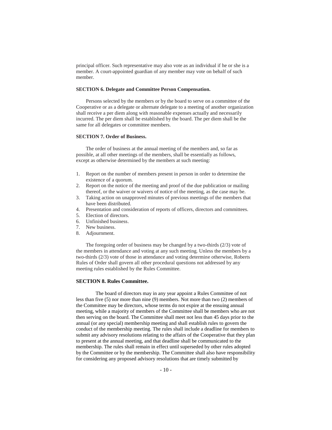principal officer. Such representative may also vote as an individual if he or she is a member. A court-appointed guardian of any member may vote on behalf of such member.

# **SECTION 6. Delegate and Committee Person Compensation.**

Persons selected by the members or by the board to serve on a committee of the Cooperative or as a delegate or alternate delegate to a meeting of another organization shall receive a per diem along with reasonable expenses actually and necessarily incurred. The per diem shall be established by the board. The per diem shall be the same for all delegates or committee members.

#### **SECTION 7. Order of Business.**

The order of business at the annual meeting of the members and, so far as possible, at all other meetings of the members, shall be essentially as follows, except as otherwise determined by the members at such meeting:

- 1. Report on the number of members present in person in order to determine the existence of a quorum.
- 2. Report on the notice of the meeting and proof of the due publication or mailing thereof, or the waiver or waivers of notice of the meeting, as the case may be.
- 3. Taking action on unapproved minutes of previous meetings of the members that have been distributed.
- 4. Presentation and consideration of reports of officers, directors and committees.
- 5. Election of directors.
- 6. Unfinished business.
- 7. New business.
- 8. Adjournment.

The foregoing order of business may be changed by a two-thirds (2/3) vote of the members in attendance and voting at any such meeting. Unless the members by a two-thirds (2/3) vote of those in attendance and voting determine otherwise, Roberts Rules of Order shall govern all other procedural questions not addressed by any meeting rules established by the Rules Committee.

# **SECTION 8. Rules Committee.**

The board of directors may in any year appoint a Rules Committee of not less than five (5) nor more than nine (9) members. Not more than two (2) members of the Committee may be directors, whose terms do not expire at the ensuing annual meeting, while a majority of members of the Committee shall be members who are not then serving on the board. The Committee shall meet not less than 45 days prior to the annual (or any special) membership meeting and shall establish rules to govern the conduct of the membership meeting. The rules shall include a deadline for members to submit any advisory resolutions relating to the affairs of the Cooperative that they plan to present at the annual meeting, and that deadline shall be communicated to the membership. The rules shall remain in effect until superseded by other rules adopted by the Committee or by the membership. The Committee shall also have responsibility for considering any proposed advisory resolutions that are timely submitted by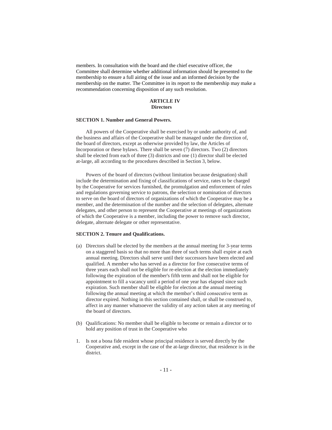members. In consultation with the board and the chief executive officer, the Committee shall determine whether additional information should be presented to the membership to ensure a full airing of the issue and an informed decision by the membership on the matter. The Committee in its report to the membership may make a recommendation concerning disposition of any such resolution.

## **ARTICLE IV Directors**

#### **SECTION 1. Number and General Powers.**

All powers of the Cooperative shall be exercised by or under authority of, and the business and affairs of the Cooperative shall be managed under the direction of, the board of directors, except as otherwise provided by law, the Articles of Incorporation or these bylaws. There shall be seven (7) directors. Two (2) directors shall be elected from each of three (3) districts and one (1) director shall be elected at-large, all according to the procedures described in Section 3, below.

Powers of the board of directors (without limitation because designation) shall include the determination and fixing of classifications of service, rates to be charged by the Cooperative for services furnished, the promulgation and enforcement of rules and regulations governing service to patrons, the selection or nomination of directors to serve on the board of directors of organizations of which the Cooperative may be a member, and the determination of the number and the selection of delegates, alternate delegates, and other person to represent the Cooperative at meetings of organizations of which the Cooperative is a member, including the power to remove such director, delegate, alternate delegate or other representative.

#### **SECTION 2. Tenure and Qualifications.**

- (a) Directors shall be elected by the members at the annual meeting for 3-year terms on a staggered basis so that no more than three of such terms shall expire at each annual meeting. Directors shall serve until their successors have been elected and qualified. A member who has served as a director for five consecutive terms of three years each shall not be eligible for re-election at the election immediately following the expiration of the member's fifth term and shall not be eligible for appointment to fill a vacancy until a period of one year has elapsed since such expiration. Such member shall be eligible for election at the annual meeting following the annual meeting at which the member's third consecutive term as director expired. Nothing in this section contained shall, or shall be construed to, affect in any manner whatsoever the validity of any action taken at any meeting of the board of directors.
- (b) Qualifications: No member shall be eligible to become or remain a director or to hold any position of trust in the Cooperative who
- 1. Is not a bona fide resident whose principal residence is served directly by the Cooperative and, except in the case of the at-large director, that residence is in the district.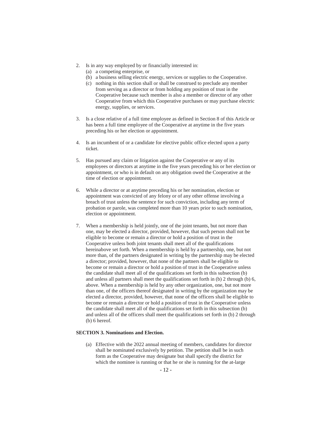- 2. Is in any way employed by or financially interested in:
	- (a) a competing enterprise, or
	- (b) a business selling electric energy, services or supplies to the Cooperative.
	- (c) nothing in this section shall or shall be construed to preclude any member from serving as a director or from holding any position of trust in the Cooperative because such member is also a member or director of any other Cooperative from which this Cooperative purchases or may purchase electric energy, supplies, or services.
- 3. Is a close relative of a full time employee as defined in Section 8 of this Article or has been a full time employee of the Cooperative at anytime in the five years preceding his or her election or appointment.
- 4. Is an incumbent of or a candidate for elective public office elected upon a party ticket.
- 5. Has pursued any claim or litigation against the Cooperative or any of its employees or directors at anytime in the five years preceding his or her election or appointment, or who is in default on any obligation owed the Cooperative at the time of election or appointment.
- 6. While a director or at anytime preceding his or her nomination, election or appointment was convicted of any felony or of any other offense involving a breach of trust unless the sentence for such conviction, including any term of probation or parole, was completed more than 10 years prior to such nomination, election or appointment.
- 7. When a membership is held jointly, one of the joint tenants, but not more than one, may be elected a director, provided, however, that such person shall not be eligible to become or remain a director or hold a position of trust in the Cooperative unless both joint tenants shall meet all of the qualifications hereinabove set forth. When a membership is held by a partnership, one, but not more than, of the partners designated in writing by the partnership may be elected a director; provided, however, that none of the partners shall be eligible to become or remain a director or hold a position of trust in the Cooperative unless the candidate shall meet all of the qualifications set forth in this subsection (b) and unless all partners shall meet the qualifications set forth in (b) 2 through (b) 6, above. When a membership is held by any other organization, one, but not more than one, of the officers thereof designated in writing by the organization may be elected a director, provided, however, that none of the officers shall be eligible to become or remain a director or hold a position of trust in the Cooperative unless the candidate shall meet all of the qualifications set forth in this subsection (b) and unless all of the officers shall meet the qualifications set forth in (b) 2 through (b) 6 hereof.

#### **SECTION 3. Nominations and Election.**

(a) Effective with the 2022 annual meeting of members, candidates for director shall be nominated exclusively by petition. The petition shall be in such form as the Cooperative may designate but shall specify the district for which the nominee is running or that he or she is running for the at-large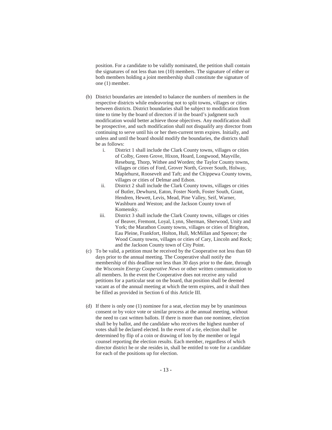position. For a candidate to be validly nominated, the petition shall contain the signatures of not less than ten (10) members. The signature of either or both members holding a joint membership shall constitute the signature of one (1) member.

- (b) District boundaries are intended to balance the numbers of members in the respective districts while endeavoring not to split towns, villages or cities between districts. District boundaries shall be subject to modification from time to time by the board of directors if in the board's judgment such modification would better achieve those objectives. Any modification shall be prospective, and such modification shall not disqualify any director from continuing to serve until his or her then-current term expires. Initially, and unless and until the board should modify the boundaries, the districts shall be as follows:
	- i. District 1 shall include the Clark County towns, villages or cities of Colby, Green Grove, Hixon, Hoard, Longwood, Mayville, Reseburg, Thorp, Withee and Worden; the Taylor County towns, villages or cities of Ford, Grover North, Grover South, Holway, Maplehurst, Roosevelt and Taft; and the Chippewa County towns, villages or cities of Delmar and Edson.
	- ii. District 2 shall include the Clark County towns, villages or cities of Butler, Dewhurst, Eaton, Foster North, Foster South, Grant, Hendren, Hewett, Levis, Mead, Pine Valley, Seif, Warner, Washburn and Weston; and the Jackson County town of Komensky.
	- iii. District 3 shall include the Clark County towns, villages or cities of Beaver, Fremont, Loyal, Lynn, Sherman, Sherwood, Unity and York; the Marathon County towns, villages or cities of Brighton, Eau Pleine, Frankfort, Holton, Hull, McMillan and Spencer; the Wood County towns, villages or cities of Cary, Lincoln and Rock; and the Jackson County town of City Point.
- (c) To be valid, a petition must be received by the Cooperative not less than 60 days prior to the annual meeting. The Cooperative shall notify the membership of this deadline not less than 30 days prior to the date, through the *Wisconsin Energy Cooperative News* or other written communication to all members. In the event the Cooperative does not receive any valid petitions for a particular seat on the board, that position shall be deemed vacant as of the annual meeting at which the term expires, and it shall then be filled as provided in Section 6 of this Article III.
- (d) If there is only one (1) nominee for a seat, election may be by unanimous consent or by voice vote or similar process at the annual meeting, without the need to cast written ballots. If there is more than one nominee, election shall be by ballot, and the candidate who receives the highest number of votes shall be declared elected. In the event of a tie, election shall be determined by flip of a coin or drawing of lots by the member or legal counsel reporting the election results. Each member, regardless of which director district he or she resides in, shall be entitled to vote for a candidate for each of the positions up for election.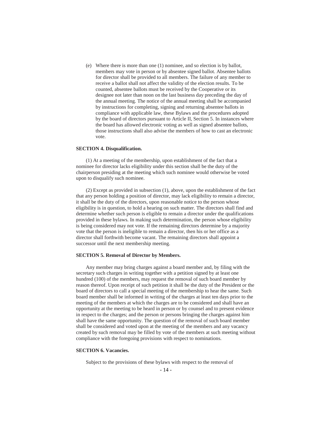(e) Where there is more than one (1) nominee, and so election is by ballot, members may vote in person or by absentee signed ballot. Absentee ballots for director shall be provided to all members. The failure of any member to receive a ballot shall not affect the validity of the election results. To be counted, absentee ballots must be received by the Cooperative or its designee not later than noon on the last business day preceding the day of the annual meeting. The notice of the annual meeting shall be accompanied by instructions for completing, signing and returning absentee ballots in compliance with applicable law, these Bylaws and the procedures adopted by the board of directors pursuant to Article II, Section 5. In instances where the board has allowed electronic voting as well as signed absentee ballots, those instructions shall also advise the members of how to cast an electronic vote.

#### **SECTION 4. Disqualification.**

(1) At a meeting of the membership, upon establishment of the fact that a nominee for director lacks eligibility under this section shall be the duty of the chairperson presiding at the meeting which such nominee would otherwise be voted upon to disqualify such nominee.

(2) Except as provided in subsection (1), above, upon the establishment of the fact that any person holding a position of director, may lack eligibility to remain a director, it shall be the duty of the directors, upon reasonable notice to the person whose eligibility is in question, to hold a hearing on such matter. The directors shall find and determine whether such person is eligible to remain a director under the qualifications provided in these bylaws. In making such determination, the person whose eligibility is being considered may not vote. If the remaining directors determine by a majority vote that the person is ineligible to remain a director, then his or her office as a director shall forthwith become vacant. The remaining directors shall appoint a successor until the next membership meeting.

#### **SECTION 5. Removal of Director by Members.**

Any member may bring charges against a board member and, by filing with the secretary such charges in writing together with a petition signed by at least one hundred (100) of the members, may request the removal of such board member by reason thereof. Upon receipt of such petition it shall be the duty of the President or the board of directors to call a special meeting of the membership to hear the same. Such board member shall be informed in writing of the charges at least ten days prior to the meeting of the members at which the charges are to be considered and shall have an opportunity at the meeting to be heard in person or by counsel and to present evidence in respect to the charges; and the person or persons bringing the charges against him shall have the same opportunity. The question of the removal of such board member shall be considered and voted upon at the meeting of the members and any vacancy created by such removal may be filled by vote of the members at such meeting without compliance with the foregoing provisions with respect to nominations.

#### **SECTION 6. Vacancies.**

Subject to the provisions of these bylaws with respect to the removal of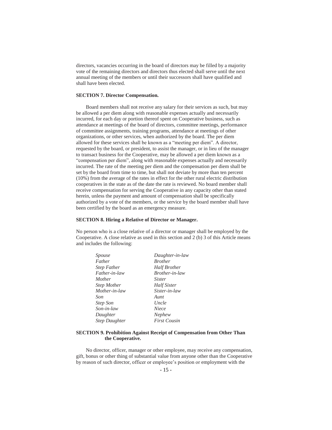directors, vacancies occurring in the board of directors may be filled by a majority vote of the remaining directors and directors thus elected shall serve until the next annual meeting of the members or until their successors shall have qualified and shall have been elected.

#### **SECTION 7. Director Compensation.**

Board members shall not receive any salary for their services as such, but may be allowed a per diem along with reasonable expenses actually and necessarily incurred, for each day or portion thereof spent on Cooperative business, such as attendance at meetings of the board of directors, committee meetings, performance of committee assignments, training programs, attendance at meetings of other organizations, or other services, when authorized by the board. The per diem allowed for these services shall be known as a "meeting per diem". A director, requested by the board, or president, to assist the manager, or in lieu of the manager to transact business for the Cooperative, may be allowed a per diem known as a "compensation per diem", along with reasonable expenses actually and necessarily incurred. The rate of the meeting per diem and the compensation per diem shall be set by the board from time to time, but shall not deviate by more than ten percent (10%) from the average of the rates in effect for the other rural electric distribution cooperatives in the state as of the date the rate is reviewed. No board member shall receive compensation for serving the Cooperative in any capacity other than stated herein, unless the payment and amount of compensation shall be specifically authorized by a vote of the members, or the service by the board member shall have been certified by the board as an emergency measure.

#### **SECTION 8. Hiring a Relative of Director or Manager.**

No person who is a close relative of a director or manager shall be employed by the Cooperative. A close relative as used in this section and 2 (b) 3 of this Article means and includes the following:

| Spouse               | Daughter-in-law     |
|----------------------|---------------------|
| Father               | <b>Brother</b>      |
| <b>Step Father</b>   | Half Brother        |
| Father-in-law        | Brother-in-law      |
| Mother               | Sister              |
| <b>Step Mother</b>   | <b>Half Sister</b>  |
| Mother-in-law        | Sister-in-law       |
| Son                  | Aunt                |
| <b>Step Son</b>      | <i>Uncle</i>        |
| Son-in-law           | Niece               |
| Daughter             | Nephew              |
| <b>Step Daughter</b> | <b>First Cousin</b> |

#### **SECTION 9. Prohibition Against Receipt of Compensation from Other Than the Cooperative.**

No director, officer, manager or other employee, may receive any compensation, gift, bonus or other thing of substantial value from anyone other than the Cooperative by reason of such director, officer or employee's position or employment with the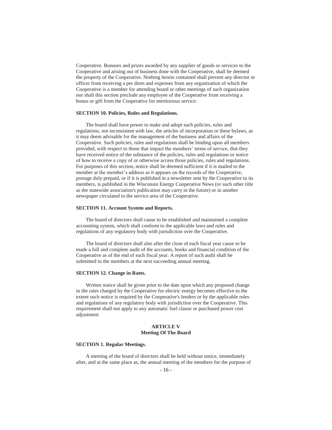Cooperative. Bonuses and prizes awarded by any supplier of goods or services to the Cooperative and arising out of business done with the Cooperative, shall be deemed the property of the Cooperative. Nothing herein contained shall prevent any director or officer from receiving a per diem and expenses from any organization of which the Cooperative is a member for attending board or other meetings of such organization nor shall this section preclude any employee of the Cooperative from receiving a bonus or gift from the Cooperative for meritorious service.

#### **SECTION 10. Policies, Rules and Regulations.**

The board shall have power to make and adopt such policies, rules and regulations, not inconsistent with law, the articles of incorporation or these bylaws, as it may deem advisable for the management of the business and affairs of the Cooperative. Such policies, rules and regulations shall be binding upon all members provided, with respect to those that impact the members' terms of service, that they have received notice of the substance of the policies, rules and regulations or notice of how to receive a copy of or otherwise access those policies, rules and regulations. For purposes of this section, notice shall be deemed sufficient if it is mailed to the member at the member's address as it appears on the records of the Cooperative, postage duly prepaid, or if it is published in a newsletter sent by the Cooperative to its members, is published in the Wisconsin Energy Cooperative News (or such other title as the statewide association's publication may carry in the future) or in another newspaper circulated in the service area of the Cooperative.

#### **SECTION 11. Account System and Reports.**

The board of directors shall cause to be established and maintained a complete accounting system, which shall conform to the applicable laws and rules and regulations of any regulatory body with jurisdiction over the Cooperative.

The board of directors shall also after the close of each fiscal year cause to be made a full and complete audit of the accounts, books and financial condition of the Cooperative as of the end of such fiscal year. A report of such audit shall be submitted to the members at the next succeeding annual meeting.

#### **SECTION 12. Change in Rates.**

Written notice shall be given prior to the date upon which any proposed change in the rates charged by the Cooperative for electric energy becomes effective to the extent such notice is required by the Cooperative's lenders or by the applicable rules and regulations of any regulatory body with jurisdiction over the Cooperative. This requirement shall not apply to any automatic fuel clause or purchased power cost adjustment

#### **ARTICLE V Meeting Of The Board**

#### **SECTION 1. Regular Meetings.**

A meeting of the board of directors shall be held without notice, immediately after, and at the same place as, the annual meeting of the members for the purpose of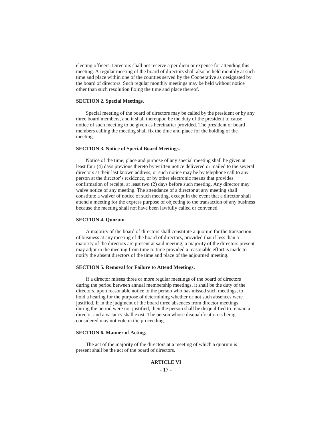electing officers. Directors shall not receive a per diem or expense for attending this meeting. A regular meeting of the board of directors shall also be held monthly at such time and place within one of the counties served by the Cooperative as designated by the board of directors. Such regular monthly meetings may be held without notice other than such resolution fixing the time and place thereof.

#### **SECTION 2. Special Meetings.**

Special meeting of the board of directors may be called by the president or by any three board members, and it shall thereupon be the duty of the president to cause notice of such meeting to be given as hereinafter provided. The president or board members calling the meeting shall fix the time and place for the holding of the meeting.

#### **SECTION 3. Notice of Special Board Meetings.**

Notice of the time, place and purpose of any special meeting shall be given at least four (4) days previous thereto by written notice delivered or mailed to the several directors at their last known address, or such notice may be by telephone call to any person at the director's residence, or by other electronic means that provides confirmation of receipt, at least two (2) days before such meeting. Any director may waive notice of any meeting. The attendance of a director at any meeting shall constitute a waiver of notice of such meeting, except in the event that a director shall attend a meeting for the express purpose of objecting to the transaction of any business because the meeting shall not have been lawfully called or convened.

#### **SECTION 4. Quorum.**

A majority of the board of directors shall constitute a quorum for the transaction of business at any meeting of the board of directors, provided that if less than a majority of the directors are present at said meeting, a majority of the directors present may adjourn the meeting from time to time provided a reasonable effort is made to notify the absent directors of the time and place of the adjourned meeting.

#### **SECTION 5. Removal for Failure to Attend Meetings.**

If a director misses three or more regular meetings of the board of directors during the period between annual membership meetings, it shall be the duty of the directors, upon reasonable notice to the person who has missed such meetings, to hold a hearing for the purpose of determining whether or not such absences were justified. If in the judgment of the board three absences from director meetings during the period were not justified, then the person shall be disqualified to remain a director and a vacancy shall exist. The person whose disqualification is being considered may not vote in the proceeding.

#### **SECTION 6. Manner of Acting.**

The act of the majority of the directors at a meeting of which a quorum is present shall be the act of the board of directors.

#### **ARTICLE VI**

- 17 -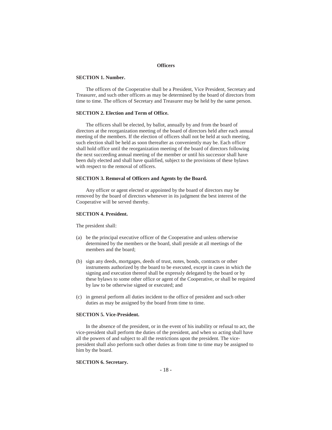## **Officers**

#### **SECTION 1. Number.**

The officers of the Cooperative shall be a President, Vice President, Secretary and Treasurer, and such other officers as may be determined by the board of directors from time to time. The offices of Secretary and Treasurer may be held by the same person.

#### **SECTION 2. Election and Term of Office.**

The officers shall be elected, by ballot, annually by and from the board of directors at the reorganization meeting of the board of directors held after each annual meeting of the members. If the election of officers shall not be held at such meeting, such election shall be held as soon thereafter as conveniently may be. Each officer shall hold office until the reorganization meeting of the board of directors following the next succeeding annual meeting of the member or until his successor shall have been duly elected and shall have qualified, subject to the provisions of these bylaws with respect to the removal of officers.

#### **SECTION 3. Removal of Officers and Agents by the Board.**

Any officer or agent elected or appointed by the board of directors may be removed by the board of directors whenever in its judgment the best interest of the Cooperative will be served thereby.

#### **SECTION 4. President.**

The president shall:

- (a) be the principal executive officer of the Cooperative and unless otherwise determined by the members or the board, shall preside at all meetings of the members and the board;
- (b) sign any deeds, mortgages, deeds of trust, notes, bonds, contracts or other instruments authorized by the board to be executed, except in cases in which the signing and execution thereof shall be expressly delegated by the board or by these bylaws to some other office or agent of the Cooperative, or shall be required by law to be otherwise signed or executed; and
- (c) in general perform all duties incident to the office of president and such other duties as may be assigned by the board from time to time.

# **SECTION 5. Vice-President.**

In the absence of the president, or in the event of his inability or refusal to act, the vice-president shall perform the duties of the president, and when so acting shall have all the powers of and subject to all the restrictions upon the president. The vicepresident shall also perform such other duties as from time to time may be assigned to him by the board.

#### **SECTION 6. Secretary.**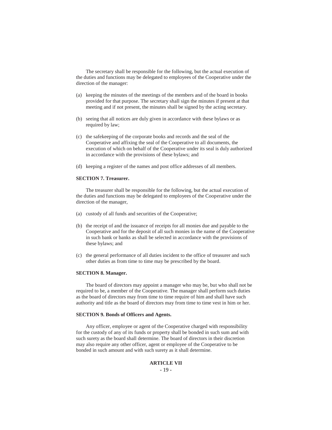The secretary shall be responsible for the following, but the actual execution of the duties and functions may be delegated to employees of the Cooperative under the direction of the manager:

- (a) keeping the minutes of the meetings of the members and of the board in books provided for that purpose. The secretary shall sign the minutes if present at that meeting and if not present, the minutes shall be signed by the acting secretary.
- (b) seeing that all notices are duly given in accordance with these bylaws or as required by law;
- (c) the safekeeping of the corporate books and records and the seal of the Cooperative and affixing the seal of the Cooperative to all documents, the execution of which on behalf of the Cooperative under its seal is duly authorized in accordance with the provisions of these bylaws; and
- (d) keeping a register of the names and post office addresses of all members.

#### **SECTION 7. Treasurer.**

The treasurer shall be responsible for the following, but the actual execution of the duties and functions may be delegated to employees of the Cooperative under the direction of the manager,

- (a) custody of all funds and securities of the Cooperative;
- (b) the receipt of and the issuance of receipts for all monies due and payable to the Cooperative and for the deposit of all such monies in the name of the Cooperative in such bank or banks as shall be selected in accordance with the provisions of these bylaws; and
- (c) the general performance of all duties incident to the office of treasurer and such other duties as from time to time may be prescribed by the board.

#### **SECTION 8. Manager.**

The board of directors may appoint a manager who may be, but who shall not be required to be, a member of the Cooperative. The manager shall perform such duties as the board of directors may from time to time require of him and shall have such authority and title as the board of directors may from time to time vest in him or her.

#### **SECTION 9. Bonds of Officers and Agents.**

Any officer, employee or agent of the Cooperative charged with responsibility for the custody of any of its funds or property shall be bonded in such sum and with such surety as the board shall determine. The board of directors in their discretion may also require any other officer, agent or employee of the Cooperative to be bonded in such amount and with such surety as it shall determine.

# **ARTICLE VII**

 $-19-$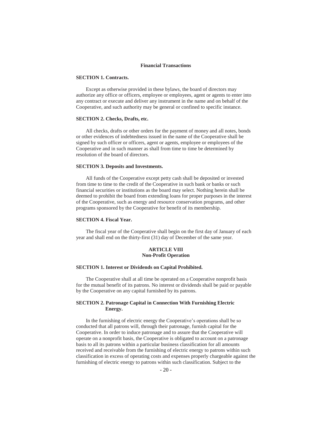#### **Financial Transactions**

#### **SECTION 1. Contracts.**

Except as otherwise provided in these bylaws, the board of directors may authorize any office or officers, employee or employees, agent or agents to enter into any contract or execute and deliver any instrument in the name and on behalf of the Cooperative, and such authority may be general or confined to specific instance.

#### **SECTION 2. Checks, Drafts, etc.**

All checks, drafts or other orders for the payment of money and all notes, bonds or other evidences of indebtedness issued in the name of the Cooperative shall be signed by such officer or officers, agent or agents, employee or employees of the Cooperative and in such manner as shall from time to time be determined by resolution of the board of directors.

#### **SECTION 3. Deposits and Investments.**

All funds of the Cooperative except petty cash shall be deposited or invested from time to time to the credit of the Cooperative in such bank or banks or such financial securities or institutions as the board may select. Nothing herein shall be deemed to prohibit the board from extending loans for proper purposes in the interest of the Cooperative, such as energy and resource conservation programs, and other programs sponsored by the Cooperative for benefit of its membership.

#### **SECTION 4. Fiscal Year.**

The fiscal year of the Cooperative shall begin on the first day of January of each year and shall end on the thirty-first (31) day of December of the same year.

#### **ARTICLE VIII Non-Profit Operation**

#### **SECTION 1. Interest or Dividends on Capital Prohibited.**

The Cooperative shall at all time be operated on a Cooperative nonprofit basis for the mutual benefit of its patrons. No interest or dividends shall be paid or payable by the Cooperative on any capital furnished by its patrons.

#### **SECTION 2. Patronage Capital in Connection With Furnishing Electric Energy.**

In the furnishing of electric energy the Cooperative's operations shall be so conducted that all patrons will, through their patronage, furnish capital for the Cooperative. In order to induce patronage and to assure that the Cooperative will operate on a nonprofit basis, the Cooperative is obligated to account on a patronage basis to all its patrons within a particular business classification for all amounts received and receivable from the furnishing of electric energy to patrons within such classification in excess of operating costs and expenses properly chargeable against the furnishing of electric energy to patrons within such classification. Subject to the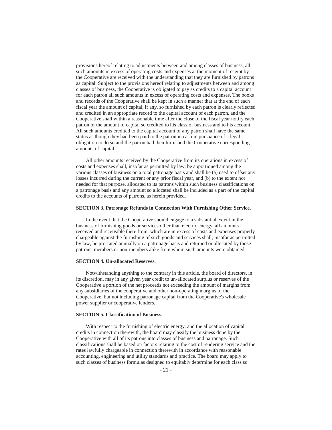provisions hereof relating to adjustments between and among classes of business, all such amounts in excess of operating costs and expenses at the moment of receipt by the Cooperative are received with the understanding that they are furnished by patrons as capital. Subject to the provisions hereof relating to adjustments between and among classes of business, the Cooperative is obligated to pay as credits to a capital account for each patron all such amounts in excess of operating costs and expenses. The books and records of the Cooperative shall be kept in such a manner that at the end of each fiscal year the amount of capital, if any, so furnished by each patron is clearly reflected and credited in an appropriate record to the capital account of each patron, and the Cooperative shall within a reasonable time after the close of the fiscal year notify each patron of the amount of capital so credited to his class of business and to his account. All such amounts credited to the capital account of any patron shall have the same status as though they had been paid to the patron in cash in pursuance of a legal obligation to do so and the patron had then furnished the Cooperative corresponding amounts of capital.

All other amounts received by the Cooperative from its operations in excess of costs and expenses shall, insofar as permitted by law, be apportioned among the various classes of business on a total patronage basis and shall be (a) used to offset any losses incurred during the current or any prior fiscal year, and (b) to the extent not needed for that purpose, allocated to its patrons within such business classifications on a patronage basis and any amount so allocated shall be included as a part of the capital credits to the accounts of patrons, as herein provided.

#### **SECTION 3. Patronage Refunds in Connection With Furnishing Other Service.**

In the event that the Cooperative should engage to a substantial extent in the business of furnishing goods or services other than electric energy, all amounts received and receivable there from, which are in excess of costs and expenses properly chargeable against the furnishing of such goods and services shall, insofar as permitted by law, be pro-rated annually on a patronage basis and returned or allocated by those patrons, members or non-members alike from whom such amounts were obtained.

#### **SECTION 4. Un-allocated Reserves.**

Notwithstanding anything to the contrary in this article, the board of directors, in its discretion, may in any given year credit to un-allocated surplus or reserves of the Cooperative a portion of the net proceeds not exceeding the amount of margins from any subsidiaries of the cooperative and other non-operating margins of the Cooperative, but not including patronage capital from the Cooperative's wholesale power supplier or cooperative lenders.

# **SECTION 5. Classification of Business.**

With respect to the furnishing of electric energy, and the allocation of capital credits in connection therewith, the board may classify the business done by the Cooperative with all of its patrons into classes of business and patronage. Such classifications shall be based on factors relating to the cost of rendering service and the rates lawfully chargeable in connection therewith in accordance with reasonable accounting, engineering and utility standards and practice. The board may apply to such classes of business formulas designed to equitably determine for each class so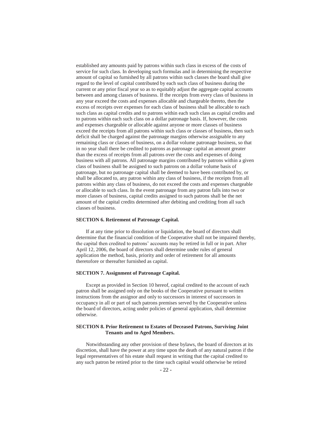established any amounts paid by patrons within such class in excess of the costs of service for such class. In developing such formulas and in determining the respective amount of capital so furnished by all patrons within such classes the board shall give regard to the level of capital contributed by each such class of business during the current or any prior fiscal year so as to equitably adjust the aggregate capital accounts between and among classes of business. If the receipts from every class of business in any year exceed the costs and expenses allocable and chargeable thereto, then the excess of receipts over expenses for each class of business shall be allocable to each such class as capital credits and to patrons within each such class as capital credits and to patrons within each such class on a dollar patronage basis. If, however, the costs and expenses chargeable or allocable against anyone or more classes of business exceed the receipts from all patrons within such class or classes of business, then such deficit shall be charged against the patronage margins otherwise assignable to any remaining class or classes of business, on a dollar volume patronage business, so that in no year shall there be credited to patrons as patronage capital an amount greater than the excess of receipts from all patrons over the costs and expenses of doing business with all patrons. All patronage margins contributed by patrons within a given class of business shall be assigned to such patrons on a dollar volume basis of patronage, but no patronage capital shall be deemed to have been contributed by, or shall be allocated to, any patron within any class of business, if the receipts from all patrons within any class of business, do not exceed the costs and expenses chargeable or allocable to such class. In the event patronage from any patron falls into two or more classes of business, capital credits assigned to such patrons shall be the net amount of the capital credits determined after debiting and crediting from all such classes of business.

#### **SECTION 6. Retirement of Patronage Capital.**

If at any time prior to dissolution or liquidation, the board of directors shall determine that the financial condition of the Cooperative shall not be impaired thereby, the capital then credited to patrons' accounts may be retired in full or in part. After April 12, 2006, the board of directors shall determine under rules of general application the method, basis, priority and order of retirement for all amounts theretofore or thereafter furnished as capital.

#### **SECTION 7. Assignment of Patronage Capital.**

Except as provided in Section 10 hereof, capital credited to the account of each patron shall be assigned only on the books of the Cooperative pursuant to written instructions from the assignor and only to successors in interest of successors in occupancy in all or part of such patrons premises served by the Cooperative unless the board of directors, acting under policies of general application, shall determine otherwise.

#### **SECTION 8. Prior Retirement to Estates of Deceased Patrons, Surviving Joint Tenants and to Aged Members.**

Notwithstanding any other provision of these bylaws, the board of directors at its discretion, shall have the power at any time upon the death of any natural patron if the legal representatives of his estate shall request in writing that the capital credited to any such patron be retired prior to the time such capital would otherwise be retired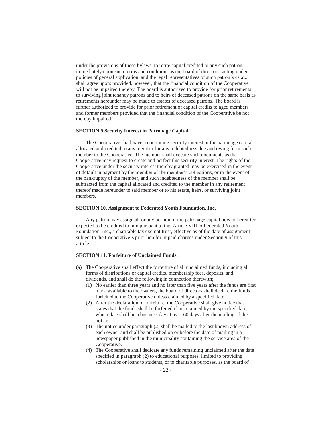under the provisions of these bylaws, to retire capital credited to any such patron immediately upon such terms and conditions as the board of directors, acting under policies of general application, and the legal representatives of such patron's estate shall agree upon; provided, however, that the financial condition of the Cooperative will not be impaired thereby. The board is authorized to provide for prior retirements to surviving joint tenancy patrons and to heirs of deceased patrons on the same basis as retirements hereunder may be made to estates of deceased patrons. The board is further authorized to provide for prior retirement of capital credits to aged members and former members provided that the financial condition of the Cooperative be not thereby impaired.

#### **SECTION 9 Security Interest in Patronage Capital.**

The Cooperative shall have a continuing security interest in the patronage capital allocated and credited to any member for any indebtedness due and owing from such member to the Cooperative. The member shall execute such documents as the Cooperative may request to create and perfect this security interest. The rights of the Cooperative under the security interest thereby granted may be exercised in the event of default in payment by the member of the member's obligations, or in the event of the bankruptcy of the member, and such indebtedness of the member shall be subtracted from the capital allocated and credited to the member in any retirement thereof made hereunder to said member or to his estate, heirs, or surviving joint members.

#### **SECTION 10. Assignment to Federated Youth Foundation, Inc.**

Any patron may assign all or any portion of the patronage capital now or hereafter expected to be credited to him pursuant to this Article VIII to Federated Youth Foundation, Inc., a charitable tax exempt trust, effective as of the date of assignment subject to the Cooperative's prior lien for unpaid charges under Section 9 of this article.

#### **SECTION 11. Forfeiture of Unclaimed Funds.**

- (a) The Cooperative shall effect the forfeiture of all unclaimed funds, including all forms of distributions or capital credits, membership fees, deposits, and dividends, and shall do the following in connection therewith;
	- (1) No earlier than three years and no later than five years after the funds are first made available to the owners, the board of directors shall declare the funds forfeited to the Cooperative unless claimed by a specified date.
	- (2) After the declaration of forfeiture, the Cooperative shall give notice that states that the funds shall be forfeited if not claimed by the specified date, which date shall be a business day at least 60 days after the mailing of the notice.
	- (3) The notice under paragraph (2) shall be mailed to the last known address of each owner and shall be published on or before the date of mailing in a newspaper published in the municipality containing the service area of the Cooperative.
	- (4) The Cooperative shall dedicate any funds remaining unclaimed after the date specified in paragraph (2) to educational purposes, limited to providing scholarships or loans to students, or to charitable purposes, as the board of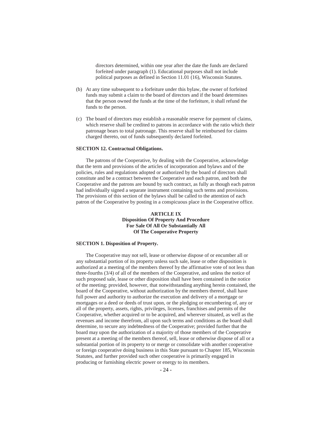directors determined, within one year after the date the funds are declared forfeited under paragraph (1). Educational purposes shall not include political purposes as defined in Section 11.01 (16), Wisconsin Statutes.

- (b) At any time subsequent to a forfeiture under this bylaw, the owner of forfeited funds may submit a claim to the board of directors and if the board determines that the person owned the funds at the time of the forfeiture, it shall refund the funds to the person.
- (c) The board of directors may establish a reasonable reserve for payment of claims, which reserve shall be credited to patrons in accordance with the ratio which their patronage bears to total patronage. This reserve shall be reimbursed for claims charged thereto, out of funds subsequently declared forfeited.

#### **SECTION 12. Contractual Obligations.**

The patrons of the Cooperative, by dealing with the Cooperative, acknowledge that the term and provisions of the articles of incorporation and bylaws and of the policies, rules and regulations adopted or authorized by the board of directors shall constitute and be a contract between the Cooperative and each patron, and both the Cooperative and the patrons are bound by such contract, as fully as though each patron had individually signed a separate instrument containing such terms and provisions. The provisions of this section of the bylaws shall be called to the attention of each patron of the Cooperative by posting in a conspicuous place in the Cooperative office.

#### **ARTICLE IX Disposition Of Property And Procedure For Sale Of All Or Substantially All Of The Cooperative Property**

#### **SECTION 1. Disposition of Property.**

The Cooperative may not sell, lease or otherwise dispose of or encumber all or any substantial portion of its property unless such sale, lease or other disposition is authorized at a meeting of the members thereof by the affirmative vote of not less than three-fourths (3/4) of all of the members of the Cooperative, and unless the notice of such proposed sale, lease or other disposition shall have been contained in the notice of the meeting; provided, however, that notwithstanding anything herein contained, the board of the Cooperative, without authorization by the members thereof, shall have full power and authority to authorize the execution and delivery of a mortgage or mortgages or a deed or deeds of trust upon, or the pledging or encumbering of, any or all of the property, assets, rights, privileges, licenses, franchises and permits of the Cooperative, whether acquired or to be acquired, and wherever situated, as well as the revenues and income therefrom, all upon such terms and conditions as the board shall determine, to secure any indebtedness of the Cooperative; provided further that the board may upon the authorization of a majority of those members of the Cooperative present at a meeting of the members thereof, sell, lease or otherwise dispose of all or a substantial portion of its property to or merge or consolidate with another cooperative or foreign cooperative doing business in this State pursuant to Chapter 185, Wisconsin Statutes, and further provided such other cooperative is primarily engaged in producing or furnishing electric power or energy to its members.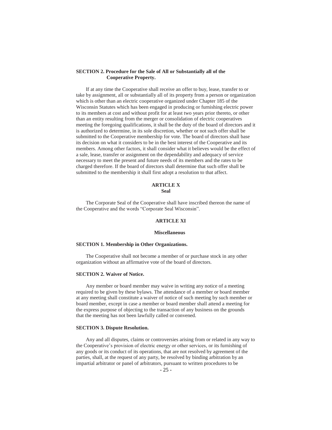#### **SECTION 2. Procedure for the Sale of All or Substantially all of the Cooperative Property.**

If at any time the Cooperative shall receive an offer to buy, lease, transfer to or take by assignment, all or substantially all of its property from a person or organization which is other than an electric cooperative organized under Chapter 185 of the Wisconsin Statutes which has been engaged in producing or furnishing electric power to its members at cost and without profit for at least two years prior thereto, or other than an entity resulting from the merger or consolidation of electric cooperatives meeting the foregoing qualifications, it shall be the duty of the board of directors and it is authorized to determine, in its sole discretion, whether or not such offer shall be submitted to the Cooperative membership for vote. The board of directors shall base its decision on what it considers to be in the best interest of the Cooperative and its members. Among other factors, it shall consider what it believes would be the effect of a sale, lease, transfer or assignment on the dependability and adequacy of service necessary to meet the present and future needs of its members and the rates to be charged therefore. If the board of directors shall determine that such offer shall be submitted to the membership it shall first adopt a resolution to that affect.

# **ARTICLE X Seal**

The Corporate Seal of the Cooperative shall have inscribed thereon the name of the Cooperative and the words "Corporate Seal Wisconsin".

#### **ARTICLE XI**

#### **Miscellaneous**

#### **SECTION 1. Membership in Other Organizations.**

The Cooperative shall not become a member of or purchase stock in any other organization without an affirmative vote of the board of directors.

#### **SECTION 2. Waiver of Notice.**

Any member or board member may waive in writing any notice of a meeting required to be given by these bylaws. The attendance of a member or board member at any meeting shall constitute a waiver of notice of such meeting by such member or board member, except in case a member or board member shall attend a meeting for the express purpose of objecting to the transaction of any business on the grounds that the meeting has not been lawfully called or convened.

#### **SECTION 3. Dispute Resolution.**

Any and all disputes, claims or controversies arising from or related in any way to the Cooperative's provision of electric energy or other services, or its furnishing of any goods or its conduct of its operations, that are not resolved by agreement of the parties, shall, at the request of any party, be resolved by binding arbitration by an impartial arbitrator or panel of arbitrators, pursuant to written procedures to be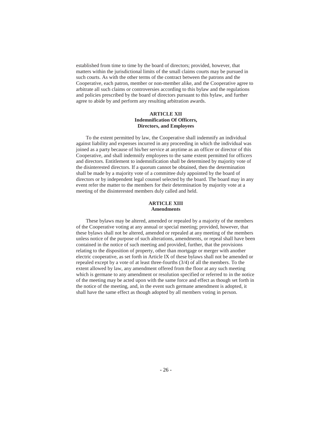established from time to time by the board of directors; provided, however, that matters within the jurisdictional limits of the small claims courts may be pursued in such courts. As with the other terms of the contract between the patrons and the Cooperative, each patron, member or non-member alike, and the Cooperative agree to arbitrate all such claims or controversies according to this bylaw and the regulations and policies prescribed by the board of directors pursuant to this bylaw, and further agree to abide by and perform any resulting arbitration awards.

## **ARTICLE XII Indemnification Of Officers, Directors, and Employees**

To the extent permitted by law, the Cooperative shall indemnify an individual against liability and expenses incurred in any proceeding in which the individual was joined as a party because of his/her service at anytime as an officer or director of this Cooperative, and shall indemnify employees to the same extent permitted for officers and directors. Entitlement to indemnification shall be determined by majority vote of the disinterested directors. If a quorum cannot be obtained, then the determination shall be made by a majority vote of a committee duly appointed by the board of directors or by independent legal counsel selected by the board. The board may in any event refer the matter to the members for their determination by majority vote at a meeting of the disinterested members duly called and held.

# **ARTICLE XIII Amendments**

These bylaws may be altered, amended or repealed by a majority of the members of the Cooperative voting at any annual or special meeting; provided, however, that these bylaws shall not be altered, amended or repealed at any meeting of the members unless notice of the purpose of such alterations, amendments, or repeal shall have been contained in the notice of such meeting and provided, further, that the provisions relating to the disposition of property, other than mortgage or merger with another electric cooperative, as set forth in Article IX of these bylaws shall not be amended or repealed except by a vote of at least three-fourths (3/4) of all the members. To the extent allowed by law, any amendment offered from the floor at any such meeting which is germane to any amendment or resolution specified or referred to in the notice of the meeting may be acted upon with the same force and effect as though set forth in the notice of the meeting, and, in the event such germane amendment is adopted, it shall have the same effect as though adopted by all members voting in person.